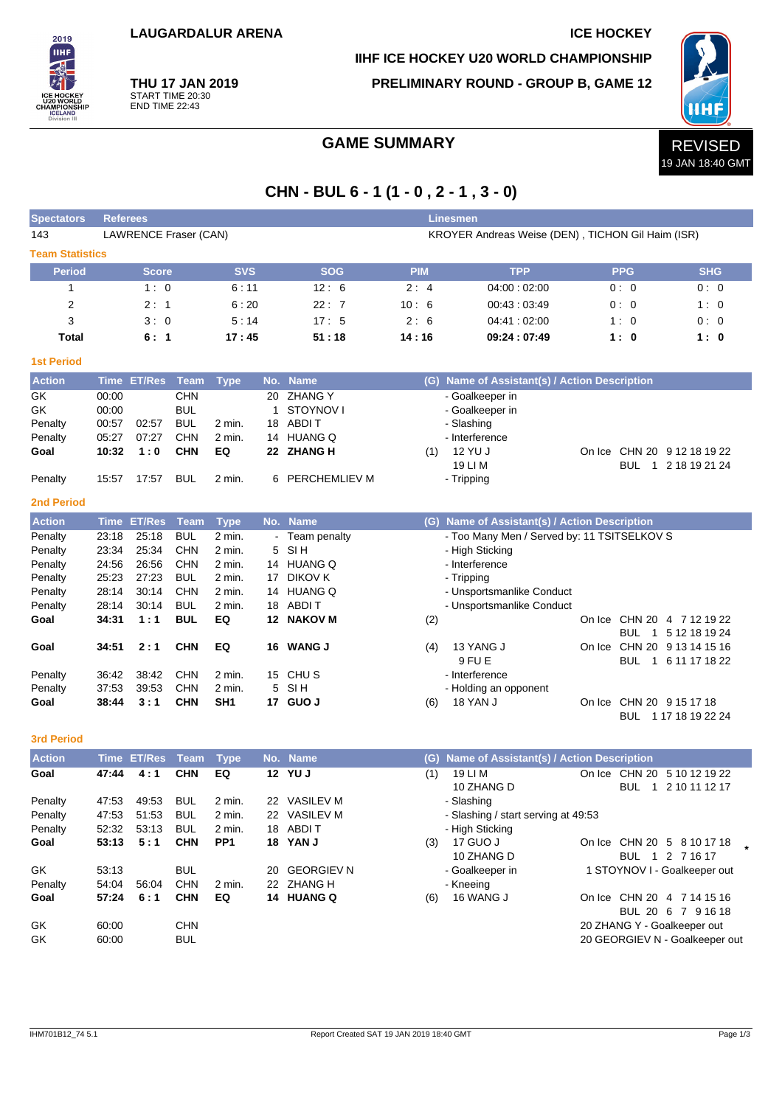**IIHF ICE HOCKEY U20 WORLD CHAMPIONSHIP**

**PRELIMINARY ROUND - GROUP B, GAME 12**



**THU 17 JAN 2019** START TIME 20:30 END TIME 22:43

2019 **TIHE** 

## GAME SUMMARY **REVISED**

# **CHN - BUL 6 - 1 (1 - 0 , 2 - 1 , 3 - 0)**

| <b>Spectators</b>      | <b>Referees</b>                                                            |                    |            |                 |             |                      |            | <b>Linesmen</b>                               |  |            |                              |
|------------------------|----------------------------------------------------------------------------|--------------------|------------|-----------------|-------------|----------------------|------------|-----------------------------------------------|--|------------|------------------------------|
| 143                    | LAWRENCE Fraser (CAN)<br>KROYER Andreas Weise (DEN), TICHON Gil Haim (ISR) |                    |            |                 |             |                      |            |                                               |  |            |                              |
| <b>Team Statistics</b> |                                                                            |                    |            |                 |             |                      |            |                                               |  |            |                              |
| <b>Period</b>          |                                                                            | Score              |            | <b>SVS</b>      |             | <b>SOG</b>           | <b>PIM</b> | <b>TPP</b>                                    |  | <b>PPG</b> | <b>SHG</b>                   |
| 1                      |                                                                            | 1:0                |            | 6:11            |             | 12:6                 | 2:4        | 04:00:02:00                                   |  | 0:0        | 0:0                          |
| 2                      |                                                                            | 2:1                |            | 6:20            |             | 22:7                 | 10:6       | 00:43:03:49                                   |  | 0:0        | 1:0                          |
| 3                      |                                                                            | 3:0                |            | 5:14            |             | 17:5                 | 2:6        | 04:41 : 02:00                                 |  | 1:0        | 0:0                          |
| Total                  |                                                                            | 6:1                |            | 17:45           |             | 51:18                | 14:16      | 09:24:07:49                                   |  | 1:0        | 1:0                          |
| <b>1st Period</b>      |                                                                            |                    |            |                 |             |                      |            |                                               |  |            |                              |
| <b>Action</b>          |                                                                            | Time ET/Res Team   |            | <b>Type</b>     |             | No. Name             |            | (G) Name of Assistant(s) / Action Description |  |            |                              |
| GK                     | 00:00                                                                      |                    | <b>CHN</b> |                 | 20          | <b>ZHANG Y</b>       |            | - Goalkeeper in                               |  |            |                              |
| GK                     | 00:00                                                                      |                    | <b>BUL</b> |                 | $\mathbf 1$ | STOYNOV I            |            | - Goalkeeper in                               |  |            |                              |
| Penalty                | 00:57                                                                      | 02:57              | <b>BUL</b> | 2 min.          | 18          | ABDI T               |            | - Slashing                                    |  |            |                              |
| Penalty                | 05:27                                                                      | 07:27              | <b>CHN</b> | 2 min.          |             | 14 HUANG Q           |            | - Interference                                |  |            |                              |
| Goal                   | 10:32                                                                      | 1:0                | <b>CHN</b> | EQ              |             | 22 ZHANG H           | (1)        | 12 YU J                                       |  |            | On Ice CHN 20 9 12 18 19 22  |
|                        |                                                                            |                    |            |                 |             |                      |            | 19 LI M                                       |  |            | BUL 1 2 18 19 21 24          |
| Penalty                | 15:57                                                                      | 17:57              | <b>BUL</b> | 2 min.          | 6           | <b>PERCHEMLIEV M</b> |            | - Tripping                                    |  |            |                              |
| <b>2nd Period</b>      |                                                                            |                    |            |                 |             |                      |            |                                               |  |            |                              |
| <b>Action</b>          |                                                                            | <b>Time ET/Res</b> | Team       | <b>Type</b>     |             | No. Name             |            | (G) Name of Assistant(s) / Action Description |  |            |                              |
| Penalty                | 23:18                                                                      | 25:18              | <b>BUL</b> | 2 min.          |             | Team penalty         |            | - Too Many Men / Served by: 11 TSITSELKOV S   |  |            |                              |
| Penalty                | 23:34                                                                      | 25:34              | CHN        | 2 min.          | 5           | SI <sub>H</sub>      |            | - High Sticking                               |  |            |                              |
| Penalty                | 24:56                                                                      | 26:56              | CHN        | 2 min.          |             | 14 HUANG Q           |            | - Interference                                |  |            |                              |
| Penalty                | 25:23                                                                      | 27:23              | <b>BUL</b> | 2 min.          | 17          | <b>DIKOV K</b>       |            | - Tripping                                    |  |            |                              |
| Penalty                | 28:14                                                                      | 30:14              | <b>CHN</b> | 2 min.          |             | 14 HUANG Q           |            | - Unsportsmanlike Conduct                     |  |            |                              |
| Penalty                | 28:14                                                                      | 30:14              | <b>BUL</b> | 2 min.          | 18          | ABDI T               |            | - Unsportsmanlike Conduct                     |  |            |                              |
| Goal                   | 34:31                                                                      | 1:1                | <b>BUL</b> | EQ              |             | 12 NAKOV M           | (2)        |                                               |  |            | On Ice CHN 20 4 7 12 19 22   |
|                        |                                                                            |                    |            |                 |             |                      |            |                                               |  |            | BUL 1 5 12 18 19 24          |
| Goal                   | 34:51                                                                      | 2:1                | <b>CHN</b> | EQ              | 16          | <b>WANG J</b>        | (4)        | 13 YANG J                                     |  |            | On Ice CHN 20 9 13 14 15 16  |
|                        |                                                                            |                    |            |                 |             |                      |            | 9 FU E                                        |  |            | BUL 1 6 11 17 18 22          |
| Penalty                | 36:42                                                                      | 38:42              | CHN        | 2 min.          |             | 15 CHUS              |            | - Interference                                |  |            |                              |
| Penalty                | 37:53                                                                      | 39:53              | CHN        | 2 min.          | 5           | SI <sub>H</sub>      |            | - Holding an opponent                         |  |            |                              |
| Goal                   | 38:44                                                                      | 3:1                | <b>CHN</b> | SH <sub>1</sub> |             | 17 GUO J             | (6)        | <b>18 YAN J</b>                               |  |            | On Ice CHN 20 9 15 17 18     |
|                        |                                                                            |                    |            |                 |             |                      |            |                                               |  |            | BUL 1 17 18 19 22 24         |
| <b>3rd Period</b>      |                                                                            |                    |            |                 |             |                      |            |                                               |  |            |                              |
| <b>Action</b>          |                                                                            | Time ET/Res        | Team       | <b>Type</b>     |             | No. Name             | (G)        | Name of Assistant(s) / Action Description     |  |            |                              |
| Goal                   | 47:44                                                                      | 4:1                | <b>CHN</b> | EQ              |             | 12 YU J              | (1)        | 19 LI M                                       |  |            | On Ice CHN 20 5 10 12 19 22  |
|                        |                                                                            |                    |            |                 |             |                      |            | 10 ZHANG D                                    |  | <b>BUL</b> | 1 2 10 11 12 17              |
| Penalty                | 47:53                                                                      | 49:53              | BUL        | 2 min.          |             | 22 VASILEV M         |            | - Slashing                                    |  |            |                              |
| Penalty                | 47:53                                                                      | 51:53              | <b>BUL</b> | 2 min.          |             | 22 VASILEV M         |            | - Slashing / start serving at 49:53           |  |            |                              |
| Penalty                | 52:32                                                                      | 53:13              | <b>BUL</b> | 2 min.          |             | 18 ABDIT             |            | - High Sticking                               |  |            |                              |
| Goal                   | 53:13                                                                      | 5:1                | <b>CHN</b> | PP <sub>1</sub> |             | 18 YAN J             | (3)        | 17 GUO J                                      |  |            | On Ice CHN 20 5 8 10 17 18   |
|                        |                                                                            |                    |            |                 |             |                      |            | 10 ZHANG D                                    |  |            | BUL 1 2 7 16 17              |
| GK                     | 53:13                                                                      |                    | <b>BUL</b> |                 |             | 20 GEORGIEV N        |            | - Goalkeeper in                               |  |            | 1 STOYNOV I - Goalkeeper out |
| Penalty                | 54:04                                                                      | 56:04              | <b>CHN</b> | 2 min.          |             | 22 ZHANG H           |            | - Kneeing                                     |  |            |                              |
| Goal                   | 57:24                                                                      | 6:1                | <b>CHN</b> | EQ              |             | 14 HUANG Q           | (6)        | 16 WANG J                                     |  |            | On Ice CHN 20 4 7 14 15 16   |

GK 60:00 CHN 60:00 CHN 20 ZHANG Y - Goalkeeper out GK 60:00 BUL 20 GEORGIEV N - Goalkeeper out

On Ice CHN 20 4 7 14 15 16 BUL 20 6 7 9 16 18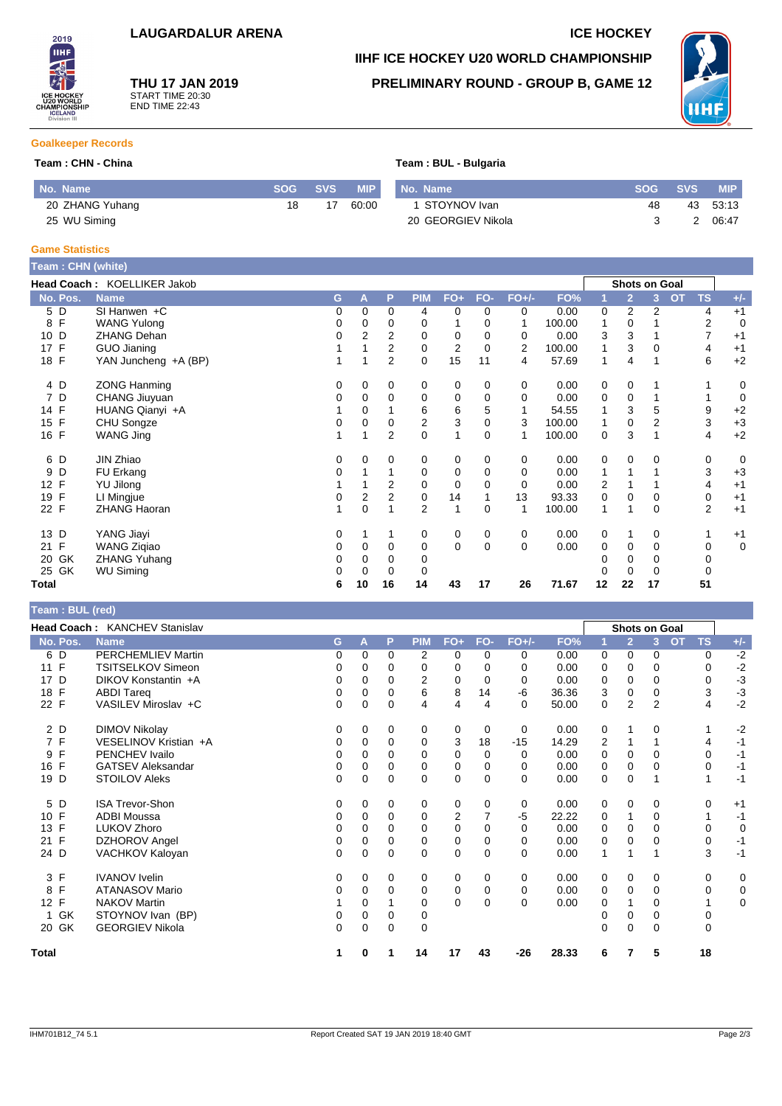2019 **IIHF** 

## **THU 17 JAN 2019** START TIME 20:30 END TIME 22:43

# **IIHF ICE HOCKEY U20 WORLD CHAMPIONSHIP PRELIMINARY ROUND - GROUP B, GAME 12**



## **Goalkeeper Records**

#### **Team : CHN - China Team : BUL - Bulgaria**

| No. Name        | SOG A | <b>SVS</b> | <b>MIP</b> | No. Name           |    | SOG SVS | <b>MIP</b> |
|-----------------|-------|------------|------------|--------------------|----|---------|------------|
| 20 ZHANG Yuhang | 18    | 17         | 60:00      | 1 STOYNOV Ivan     | 48 |         | 43 53:13   |
| 25 WU Siming    |       |            |            | 20 GEORGIEV Nikola |    |         | 06:47      |

#### **Game Statistics**

| Team: CHN (white)     |                             |   |                |                |                |                |             |                |        |    |                |          |                        |             |
|-----------------------|-----------------------------|---|----------------|----------------|----------------|----------------|-------------|----------------|--------|----|----------------|----------|------------------------|-------------|
|                       | Head Coach: KOELLIKER Jakob |   |                |                |                |                |             |                |        |    | Shots on Goal  |          |                        |             |
| No. Pos.              | <b>Name</b>                 | G | A              | P              | <b>PIM</b>     | $FO+$          | FO-         | $FO+/-$        | FO%    |    | $\overline{2}$ | 3        | <b>OT</b><br><b>TS</b> | $+/-$       |
| 5 D                   | SI Hanwen $+C$              | 0 | 0              | 0              | 4              | 0              | 0           | 0              | 0.00   | 0  | $\overline{2}$ | 2        | 4                      | $+1$        |
| $\mathsf{F}$<br>8     | <b>WANG Yulong</b>          | 0 | 0              | 0              | 0              |                | 0           | 1              | 100.00 | 1  | 0              |          | 2                      | 0           |
| 10 D                  | <b>ZHANG Dehan</b>          | 0 | 2              | 2              | 0              | 0              | 0           | 0              | 0.00   | 3  | 3              |          |                        | $+1$        |
| F<br>17               | GUO Jianing                 |   |                | $\overline{2}$ | 0              | $\overline{2}$ | $\Omega$    | $\overline{2}$ | 100.00 | 1  | 3              | $\Omega$ | 4                      | $+1$        |
| 18 F                  | YAN Juncheng +A (BP)        | 1 |                | $\overline{2}$ | 0              | 15             | 11          | 4              | 57.69  | 1  | 4              |          | 6                      | $+2$        |
| 4 D                   | <b>ZONG Hanming</b>         | 0 | 0              | 0              | 0              | 0              | 0           | 0              | 0.00   | 0  | 0              |          |                        | 0           |
| 7 D                   | <b>CHANG Jiuyuan</b>        | 0 | $\Omega$       | $\Omega$       | 0              | 0              | $\Omega$    | $\Omega$       | 0.00   | 0  | $\mathbf 0$    |          |                        | $\mathbf 0$ |
| 14 F                  | HUANG Qianyi +A             |   | 0              |                | 6              | 6              | 5           | $\mathbf{1}$   | 54.55  | 1  | 3              | 5        | 9                      | $+2$        |
| $\mathsf{F}$<br>15    | CHU Songze                  | 0 | $\mathbf 0$    | 0              | 2              | 3              | $\mathbf 0$ | 3              | 100.00 |    | $\mathbf 0$    | 2        | 3                      | $+3$        |
| 16 F                  | WANG Jing                   | 1 | 1              | $\overline{2}$ | 0              | 1              | $\Omega$    | 1              | 100.00 | 0  | 3              | 1        | 4                      | $+2$        |
| 6 D                   | JIN Zhiao                   | 0 | 0              | 0              | 0              | 0              | 0           | 0              | 0.00   | 0  | 0              | 0        | 0                      | 0           |
| D<br>9                | FU Erkang                   | 0 |                |                | 0              | 0              | 0           | 0              | 0.00   | 1  |                |          | 3                      | $+3$        |
| F<br>12 <sup>12</sup> | YU Jilong                   |   |                | $\overline{2}$ | 0              | $\mathbf 0$    | $\Omega$    | 0              | 0.00   | 2  |                |          | 4                      | $+1$        |
| F<br>19               | LI Mingjue                  | 0 | $\overline{2}$ | 2              | 0              | 14             |             | 13             | 93.33  | 0  | $\Omega$       | 0        | 0                      | $+1$        |
| 22 F                  | <b>ZHANG Haoran</b>         | 1 | $\mathbf 0$    |                | $\overline{2}$ | 1              | $\mathbf 0$ | 1              | 100.00 | 1  |                | 0        | $\overline{2}$         | $+1$        |
| 13 D                  | YANG Jiayi                  | 0 |                |                | 0              | 0              | 0           | $\mathbf 0$    | 0.00   | 0  | 1              | 0        |                        | $+1$        |
| $\mathsf{F}$<br>21    | <b>WANG Zigiao</b>          | 0 | $\Omega$       | $\Omega$       | 0              | $\mathbf 0$    | $\Omega$    | $\Omega$       | 0.00   | 0  | 0              | $\Omega$ | 0                      | 0           |
| 20 GK                 | <b>ZHANG Yuhang</b>         | 0 | 0              | 0              | 0              |                |             |                |        | 0  | 0              | 0        | 0                      |             |
| 25 GK                 | <b>WU Siming</b>            | 0 | $\Omega$       | $\Omega$       | 0              |                |             |                |        | O  | $\Omega$       | 0        | 0                      |             |
| Total                 |                             | 6 | 10             | 16             | 14             | 43             | 17          | 26             | 71.67  | 12 | 22             | 17       | 51                     |             |

### **Team : BUL (red)**

|                      | <b>Head Coach: KANCHEV Stanislav</b> |   |          |             |             |                |          |          |       | <b>Shots on Goal</b> |                |          |                        |             |
|----------------------|--------------------------------------|---|----------|-------------|-------------|----------------|----------|----------|-------|----------------------|----------------|----------|------------------------|-------------|
| No. Pos.             | <b>Name</b>                          | G | Α        | P           | <b>PIM</b>  | $FO+$          | FO-      | $FO+/-$  | FO%   |                      | $\overline{2}$ | 3        | <b>TS</b><br><b>OT</b> | $+/-$       |
| 6 D                  | <b>PERCHEMLIEV Martin</b>            | 0 | 0        | 0           | 2           | 0              | 0        | 0        | 0.00  | 0                    | 0              | 0        | 0                      | $-2$        |
| 11 F                 | <b>TSITSELKOV Simeon</b>             | 0 | 0        | $\Omega$    | 0           | 0              | 0        | 0        | 0.00  | 0                    | 0              | 0        | 0                      | $-2$        |
| D<br>17              | DIKOV Konstantin +A                  | 0 | 0        | $\Omega$    | 2           | 0              | $\Omega$ | 0        | 0.00  | 0                    | 0              | $\Omega$ | 0                      | $-3$        |
| 18 F                 | <b>ABDI Tareq</b>                    | 0 | 0        | 0           | 6           | 8              | 14       | -6       | 36.36 | 3                    | 0              | 0        | 3                      | $-3$        |
| 22 F                 | VASILEV Miroslav +C                  | 0 | 0        | 0           | 4           | 4              | 4        | $\Omega$ | 50.00 | 0                    | $\overline{2}$ | 2        | 4                      | $-2$        |
| 2 D                  | <b>DIMOV Nikolay</b>                 | 0 | 0        | 0           | 0           | 0              | 0        | 0        | 0.00  | 0                    |                | 0        | 1                      | $-2$        |
| 7 F                  | VESELINOV Kristian +A                | 0 | 0        | $\Omega$    | 0           | 3              | 18       | $-15$    | 14.29 | 2                    |                |          | 4                      | $-1$        |
| F<br>9               | PENCHEV Ivailo                       | 0 | $\Omega$ | $\Omega$    | $\Omega$    | $\mathbf 0$    | 0        | $\Omega$ | 0.00  | 0                    | 0              | $\Omega$ | $\Omega$               | $-1$        |
| F<br>16              | <b>GATSEV Aleksandar</b>             | 0 | $\Omega$ | $\Omega$    | 0           | 0              | 0        | 0        | 0.00  | 0                    | 0              | 0        | 0                      | $-1$        |
| 19 D                 | <b>STOILOV Aleks</b>                 | 0 | 0        | 0           | 0           | $\mathbf 0$    | $\Omega$ | $\Omega$ | 0.00  | 0                    | 0              |          | 1                      | $-1$        |
| 5 D                  | <b>ISA Trevor-Shon</b>               | 0 | 0        | 0           | 0           | 0              | 0        | 0        | 0.00  | 0                    | 0              | 0        | 0                      | $+1$        |
| 10 F                 | <b>ADBI Moussa</b>                   | 0 | 0        | $\Omega$    | 0           | $\overline{2}$ |          | $-5$     | 22.22 | 0                    | 1              | $\Omega$ | 1                      | $-1$        |
| F<br>13              | LUKOV Zhoro                          | 0 | $\Omega$ | $\Omega$    | $\Omega$    | $\mathbf 0$    | 0        | $\Omega$ | 0.00  | 0                    | $\Omega$       | 0        | $\Omega$               | 0           |
| $\mathsf{F}$<br>21   | DZHOROV Angel                        | 0 | 0        | 0           | 0           | 0              | 0        | 0        | 0.00  | 0                    | 0              | 0        | 0                      | $-1$        |
| 24 D                 | VACHKOV Kaloyan                      | 0 | 0        | 0           | 0           | 0              | 0        | 0        | 0.00  |                      |                |          | 3                      | $-1$        |
| 3 F                  | <b>IVANOV</b> Ivelin                 | 0 | 0        | 0           | 0           | 0              | 0        | 0        | 0.00  | 0                    | 0              | 0        | 0                      | 0           |
| F<br>8               | <b>ATANASOV Mario</b>                | 0 | 0        | $\Omega$    | 0           | 0              | 0        | 0        | 0.00  | 0                    | 0              | $\Omega$ | 0                      | 0           |
| F<br>12 <sup>2</sup> | <b>NAKOV Martin</b>                  |   | 0        |             | $\Omega$    | $\mathbf 0$    | $\Omega$ | 0        | 0.00  | 0                    |                | 0        |                        | $\mathbf 0$ |
| GK                   | STOYNOV Ivan (BP)                    | 0 | 0        | 0           | 0           |                |          |          |       | 0                    | 0              | 0        | 0                      |             |
| 20 GK                | <b>GEORGIEV Nikola</b>               | 0 | 0        | $\mathbf 0$ | $\mathbf 0$ |                |          |          |       | 0                    | 0              | $\Omega$ | 0                      |             |
| Total                |                                      |   | 0        |             | 14          | 17             | 43       | -26      | 28.33 | 6                    | 7              | 5        | 18                     |             |